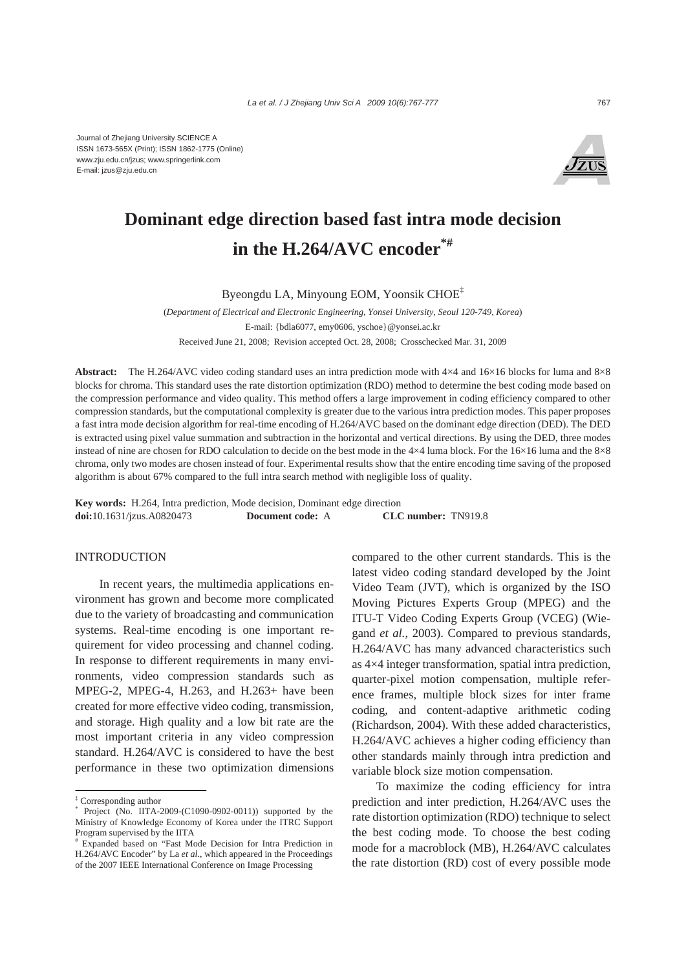

# **Dominant edge direction based fast intra mode decision in the H.264/AVC encoder\*#**

Byeongdu LA, Minyoung EOM, Yoonsik CHOE‡

(*Department of Electrical and Electronic Engineering, Yonsei University, Seoul 120-749, Korea*) E-mail: {bdla6077, emy0606, yschoe}@yonsei.ac.kr Received June 21, 2008; Revision accepted Oct. 28, 2008; Crosschecked Mar. 31, 2009

**Abstract:** The H.264/AVC video coding standard uses an intra prediction mode with 4×4 and 16×16 blocks for luma and 8×8 blocks for chroma. This standard uses the rate distortion optimization (RDO) method to determine the best coding mode based on the compression performance and video quality. This method offers a large improvement in coding efficiency compared to other compression standards, but the computational complexity is greater due to the various intra prediction modes. This paper proposes a fast intra mode decision algorithm for real-time encoding of H.264/AVC based on the dominant edge direction (DED). The DED is extracted using pixel value summation and subtraction in the horizontal and vertical directions. By using the DED, three modes instead of nine are chosen for RDO calculation to decide on the best mode in the 4×4 luma block. For the 16×16 luma and the 8×8 chroma, only two modes are chosen instead of four. Experimental results show that the entire encoding time saving of the proposed algorithm is about 67% compared to the full intra search method with negligible loss of quality.

**Key words:** H.264, Intra prediction, Mode decision, Dominant edge direction **doi:**10.1631/jzus.A0820473 **Document code:** A **CLC number:** TN919.8

## INTRODUCTION

In recent years, the multimedia applications environment has grown and become more complicated due to the variety of broadcasting and communication systems. Real-time encoding is one important requirement for video processing and channel coding. In response to different requirements in many environments, video compression standards such as MPEG-2, MPEG-4, H.263, and H.263+ have been created for more effective video coding, transmission, and storage. High quality and a low bit rate are the most important criteria in any video compression standard. H.264/AVC is considered to have the best performance in these two optimization dimensions compared to the other current standards. This is the latest video coding standard developed by the Joint Video Team (JVT), which is organized by the ISO Moving Pictures Experts Group (MPEG) and the ITU-T Video Coding Experts Group (VCEG) (Wiegand *et al.*, 2003). Compared to previous standards, H.264/AVC has many advanced characteristics such as 4×4 integer transformation, spatial intra prediction, quarter-pixel motion compensation, multiple reference frames, multiple block sizes for inter frame coding, and content-adaptive arithmetic coding (Richardson, 2004). With these added characteristics, H.264/AVC achieves a higher coding efficiency than other standards mainly through intra prediction and variable block size motion compensation.

To maximize the coding efficiency for intra prediction and inter prediction, H.264/AVC uses the rate distortion optimization (RDO) technique to select the best coding mode. To choose the best coding mode for a macroblock (MB), H.264/AVC calculates the rate distortion (RD) cost of every possible mode

<sup>‡</sup> Corresponding author

<sup>\*</sup> Project (No. IITA-2009-(C1090-0902-0011)) supported by the Ministry of Knowledge Economy of Korea under the ITRC Support Program supervised by the IITA

<sup>#</sup> Expanded based on "Fast Mode Decision for Intra Prediction in H.264/AVC Encoder" by La *et al*., which appeared in the Proceedings of the 2007 IEEE International Conference on Image Processing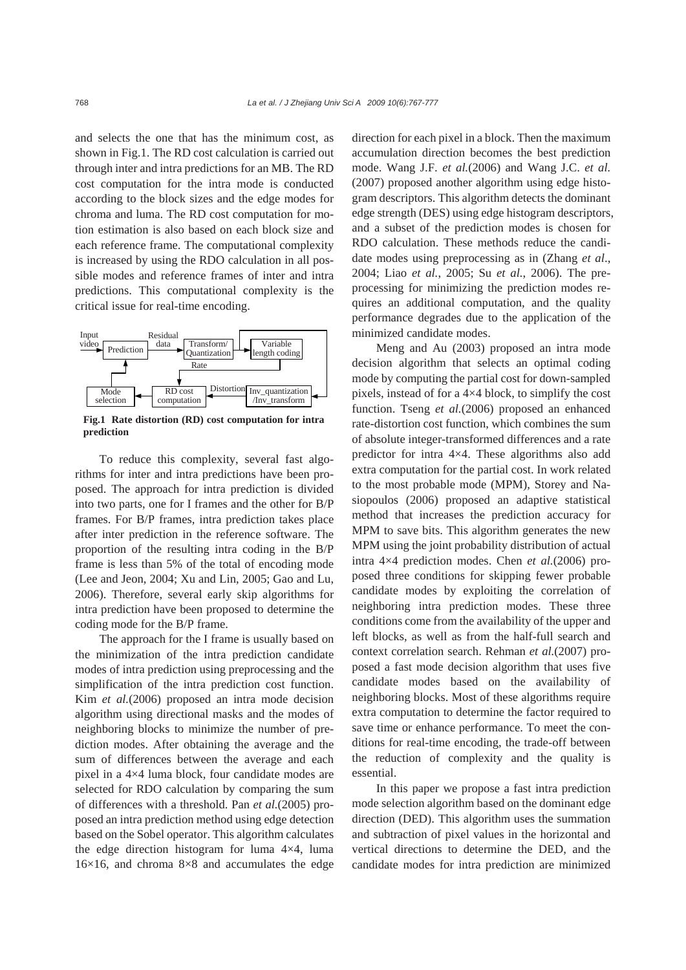and selects the one that has the minimum cost, as shown in Fig.1. The RD cost calculation is carried out through inter and intra predictions for an MB. The RD cost computation for the intra mode is conducted according to the block sizes and the edge modes for chroma and luma. The RD cost computation for motion estimation is also based on each block size and each reference frame. The computational complexity is increased by using the RDO calculation in all possible modes and reference frames of inter and intra predictions. This computational complexity is the critical issue for real-time encoding.



**Fig.1 Rate distortion (RD) cost computation for intra prediction** 

To reduce this complexity, several fast algorithms for inter and intra predictions have been proposed. The approach for intra prediction is divided into two parts, one for I frames and the other for B/P frames. For B/P frames, intra prediction takes place after inter prediction in the reference software. The proportion of the resulting intra coding in the B/P frame is less than 5% of the total of encoding mode (Lee and Jeon, 2004; Xu and Lin, 2005; Gao and Lu, 2006). Therefore, several early skip algorithms for intra prediction have been proposed to determine the coding mode for the B/P frame.

The approach for the I frame is usually based on the minimization of the intra prediction candidate modes of intra prediction using preprocessing and the simplification of the intra prediction cost function. Kim *et al.*(2006) proposed an intra mode decision algorithm using directional masks and the modes of neighboring blocks to minimize the number of prediction modes. After obtaining the average and the sum of differences between the average and each pixel in a 4×4 luma block, four candidate modes are selected for RDO calculation by comparing the sum of differences with a threshold. Pan *et al.*(2005) proposed an intra prediction method using edge detection based on the Sobel operator. This algorithm calculates the edge direction histogram for luma 4×4, luma  $16\times16$ , and chroma  $8\times8$  and accumulates the edge

direction for each pixel in a block. Then the maximum accumulation direction becomes the best prediction mode. Wang J.F. *et al.*(2006) and Wang J.C. *et al.*  (2007) proposed another algorithm using edge histogram descriptors. This algorithm detects the dominant edge strength (DES) using edge histogram descriptors, and a subset of the prediction modes is chosen for RDO calculation. These methods reduce the candidate modes using preprocessing as in (Zhang *et al*., 2004; Liao *et al.*, 2005; Su *et al.*, 2006). The preprocessing for minimizing the prediction modes requires an additional computation, and the quality performance degrades due to the application of the minimized candidate modes.

Meng and Au (2003) proposed an intra mode decision algorithm that selects an optimal coding mode by computing the partial cost for down-sampled pixels, instead of for a 4×4 block, to simplify the cost function. Tseng *et al.*(2006) proposed an enhanced rate-distortion cost function, which combines the sum of absolute integer-transformed differences and a rate predictor for intra 4×4. These algorithms also add extra computation for the partial cost. In work related to the most probable mode (MPM), Storey and Nasiopoulos (2006) proposed an adaptive statistical method that increases the prediction accuracy for MPM to save bits. This algorithm generates the new MPM using the joint probability distribution of actual intra 4×4 prediction modes. Chen *et al.*(2006) proposed three conditions for skipping fewer probable candidate modes by exploiting the correlation of neighboring intra prediction modes. These three conditions come from the availability of the upper and left blocks, as well as from the half-full search and context correlation search. Rehman *et al.*(2007) proposed a fast mode decision algorithm that uses five candidate modes based on the availability of neighboring blocks. Most of these algorithms require extra computation to determine the factor required to save time or enhance performance. To meet the conditions for real-time encoding, the trade-off between the reduction of complexity and the quality is essential.

In this paper we propose a fast intra prediction mode selection algorithm based on the dominant edge direction (DED). This algorithm uses the summation and subtraction of pixel values in the horizontal and vertical directions to determine the DED, and the candidate modes for intra prediction are minimized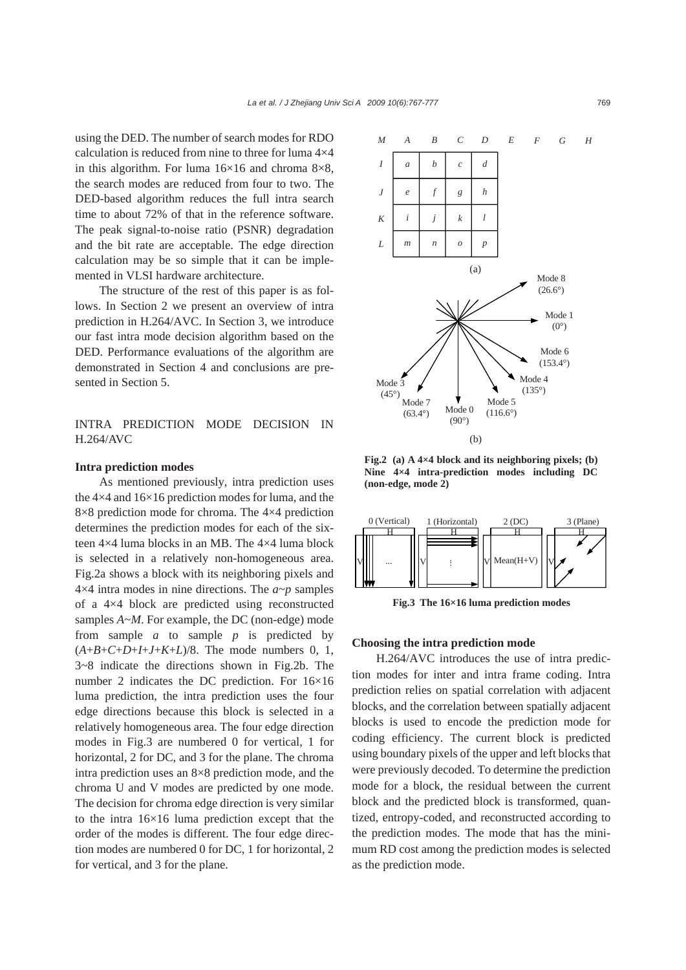using the DED. The number of search modes for RDO calculation is reduced from nine to three for luma  $4\times4$ in this algorithm. For luma  $16\times16$  and chroma  $8\times8$ , the search modes are reduced from four to two. The DED-based algorithm reduces the full intra search time to about 72% of that in the reference software. The peak signal-to-noise ratio (PSNR) degradation and the bit rate are acceptable. The edge direction calculation may be so simple that it can be implemented in VLSI hardware architecture.

The structure of the rest of this paper is as follows. In Section 2 we present an overview of intra prediction in H.264/AVC. In Section 3, we introduce our fast intra mode decision algorithm based on the DED. Performance evaluations of the algorithm are demonstrated in Section 4 and conclusions are presented in Section 5.

INTRA PREDICTION MODE DECISION IN H.264/AVC

## **Intra prediction modes**

As mentioned previously, intra prediction uses the 4×4 and 16×16 prediction modes for luma, and the 8×8 prediction mode for chroma. The 4×4 prediction determines the prediction modes for each of the sixteen 4×4 luma blocks in an MB. The 4×4 luma block is selected in a relatively non-homogeneous area. Fig.2a shows a block with its neighboring pixels and 4×4 intra modes in nine directions. The *a*~*p* samples of a 4×4 block are predicted using reconstructed samples *A*~*M*. For example, the DC (non-edge) mode from sample *a* to sample *p* is predicted by  $(A+B+C+D+I+J+K+L)/8$ . The mode numbers 0, 1, 3~8 indicate the directions shown in Fig.2b. The number 2 indicates the DC prediction. For 16×16 luma prediction, the intra prediction uses the four edge directions because this block is selected in a relatively homogeneous area. The four edge direction modes in Fig.3 are numbered 0 for vertical, 1 for horizontal, 2 for DC, and 3 for the plane. The chroma intra prediction uses an 8×8 prediction mode, and the chroma U and V modes are predicted by one mode. The decision for chroma edge direction is very similar to the intra 16×16 luma prediction except that the order of the modes is different. The four edge direction modes are numbered 0 for DC, 1 for horizontal, 2 for vertical, and 3 for the plane.



**Fig.2 (a) A 4×4 block and its neighboring pixels; (b) Nine 4×4 intra-prediction modes including DC (non-edge, mode 2)**



**Fig.3 The 16×16 luma prediction modes**

## **Choosing the intra prediction mode**

H.264/AVC introduces the use of intra prediction modes for inter and intra frame coding. Intra prediction relies on spatial correlation with adjacent blocks, and the correlation between spatially adjacent blocks is used to encode the prediction mode for coding efficiency. The current block is predicted using boundary pixels of the upper and left blocks that were previously decoded. To determine the prediction mode for a block, the residual between the current block and the predicted block is transformed, quantized, entropy-coded, and reconstructed according to the prediction modes. The mode that has the minimum RD cost among the prediction modes is selected as the prediction mode.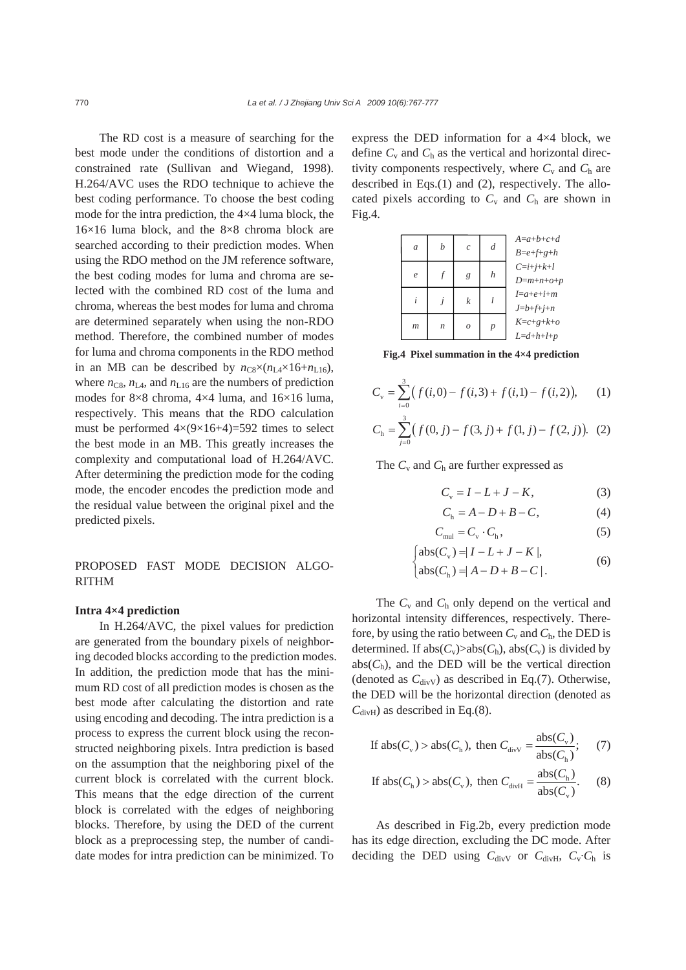The RD cost is a measure of searching for the best mode under the conditions of distortion and a constrained rate (Sullivan and Wiegand, 1998). H.264/AVC uses the RDO technique to achieve the best coding performance. To choose the best coding mode for the intra prediction, the 4×4 luma block, the 16×16 luma block, and the 8×8 chroma block are searched according to their prediction modes. When using the RDO method on the JM reference software, the best coding modes for luma and chroma are selected with the combined RD cost of the luma and chroma, whereas the best modes for luma and chroma are determined separately when using the non-RDO method. Therefore, the combined number of modes for luma and chroma components in the RDO method in an MB can be described by  $n_{\text{C8}} \times (n_{\text{I},4} \times 16 + n_{\text{L},16})$ , where  $n_{\text{C8}}$ ,  $n_{\text{L4}}$ , and  $n_{\text{L16}}$  are the numbers of prediction modes for 8×8 chroma, 4×4 luma, and 16×16 luma, respectively. This means that the RDO calculation must be performed  $4\times(9\times16+4)=592$  times to select the best mode in an MB. This greatly increases the complexity and computational load of H.264/AVC. After determining the prediction mode for the coding mode, the encoder encodes the prediction mode and the residual value between the original pixel and the predicted pixels.

## PROPOSED FAST MODE DECISION ALGO-RITHM

## **Intra 4×4 prediction**

In H.264/AVC, the pixel values for prediction are generated from the boundary pixels of neighboring decoded blocks according to the prediction modes. In addition, the prediction mode that has the minimum RD cost of all prediction modes is chosen as the best mode after calculating the distortion and rate using encoding and decoding. The intra prediction is a process to express the current block using the reconstructed neighboring pixels. Intra prediction is based on the assumption that the neighboring pixel of the current block is correlated with the current block. This means that the edge direction of the current block is correlated with the edges of neighboring blocks. Therefore, by using the DED of the current block as a preprocessing step, the number of candidate modes for intra prediction can be minimized. To

express the DED information for a 4×4 block, we define  $C_v$  and  $C_h$  as the vertical and horizontal directivity components respectively, where  $C_v$  and  $C_h$  are described in Eqs.(1) and (2), respectively. The allocated pixels according to  $C_v$  and  $C_h$  are shown in Fig.4.

| $\alpha$       | h                | $\mathcal{C}$ | $\overline{d}$   | $A=a+b+c+d$<br>$B = e + f + g + h$ |
|----------------|------------------|---------------|------------------|------------------------------------|
| $\epsilon$     |                  | g             | $\boldsymbol{h}$ | $C=i+j+k+l$<br>$D=m+n+o+p$         |
|                |                  | k             |                  | $I=a+e+i+m$<br>$J=b+f+i+n$         |
| $\mathfrak{m}$ | $\boldsymbol{n}$ | $\Omega$      | р                | $K=c+g+k+o$<br>$L=d+h+l+p$         |

**Fig.4 Pixel summation in the 4×4 prediction** 

$$
C_{v} = \sum_{i=0}^{3} (f(i,0) - f(i,3) + f(i,1) - f(i,2)),
$$
 (1)  

$$
C_{h} = \sum_{i=0}^{3} (f(0,j) - f(3,j) + f(1,j) - f(2,j)).
$$
 (2)

The *C*v and *C*h are further expressed as

 $j=0$ 

$$
C_{v} = I - L + J - K,\t\t(3)
$$

$$
Ch = A - D + B - C,
$$
 (4)

$$
C_{\text{mul}} = C_{\text{v}} \cdot C_{\text{h}},\tag{5}
$$

$$
\begin{cases}\n\text{abs}(C_{\rm v}) = |I - L + J - K|, \\
\text{abs}(C_{\rm h}) = |A - D + B - C|.\n\end{cases} (6)
$$

The  $C_v$  and  $C_h$  only depend on the vertical and horizontal intensity differences, respectively. Therefore, by using the ratio between  $C_v$  and  $C_h$ , the DED is determined. If  $abs(C_v) > abs(C_h)$ ,  $abs(C_v)$  is divided by  $abs(C_h)$ , and the DED will be the vertical direction (denoted as  $C_{divV}$ ) as described in Eq.(7). Otherwise, the DED will be the horizontal direction (denoted as  $C_{\text{divH}}$ ) as described in Eq.(8).

If 
$$
abs(C_v) > abs(C_h)
$$
, then  $C_{divv} = \frac{abs(C_v)}{abs(C_h)}$ ; (7)

If 
$$
abs(C_h) > abs(C_v)
$$
, then  $C_{divH} = \frac{abs(C_h)}{abs(C_v)}$ . (8)

As described in Fig.2b, every prediction mode has its edge direction, excluding the DC mode. After deciding the DED using  $C_{\text{divV}}$  or  $C_{\text{divH}}$ ,  $C_{\text{v}} \cdot C_{\text{h}}$  is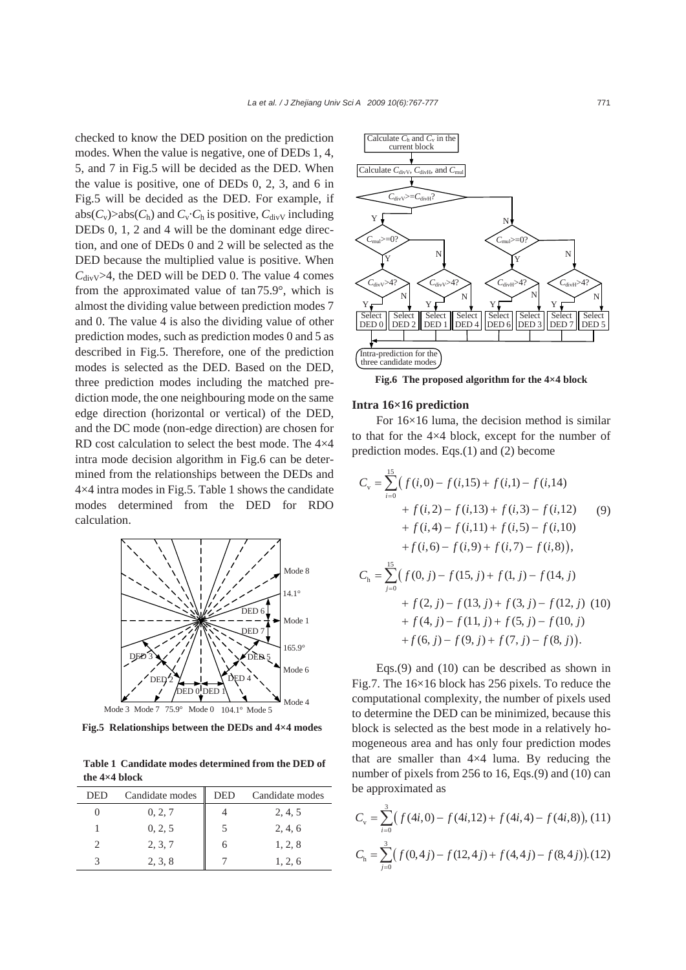checked to know the DED position on the prediction modes. When the value is negative, one of DEDs 1, 4, 5, and 7 in Fig.5 will be decided as the DED. When the value is positive, one of DEDs 0, 2, 3, and 6 in Fig.5 will be decided as the DED. For example, if abs( $C_v$ )>abs( $C_h$ ) and  $C_v \cdot C_h$  is positive,  $C_{divV}$  including DEDs 0, 1, 2 and 4 will be the dominant edge direction, and one of DEDs 0 and 2 will be selected as the DED because the multiplied value is positive. When  $C_{\text{divV}}$  4, the DED will be DED 0. The value 4 comes from the approximated value of tan75.9°, which is almost the dividing value between prediction modes 7 and 0. The value 4 is also the dividing value of other prediction modes, such as prediction modes 0 and 5 as described in Fig.5. Therefore, one of the prediction modes is selected as the DED. Based on the DED, three prediction modes including the matched prediction mode, the one neighbouring mode on the same edge direction (horizontal or vertical) of the DED, and the DC mode (non-edge direction) are chosen for RD cost calculation to select the best mode. The 4×4 intra mode decision algorithm in Fig.6 can be determined from the relationships between the DEDs and 4×4 intra modes in Fig.5. Table 1 shows the candidate modes determined from the DED for RDO calculation.



**Fig.5 Relationships between the DEDs and 4×4 modes** 

**Table 1 Candidate modes determined from the DED of the 4×4 block** 

| DED | Candidate modes | <b>DED</b> | Candidate modes |
|-----|-----------------|------------|-----------------|
|     | 0, 2, 7         |            | 2, 4, 5         |
|     | 0, 2, 5         |            | 2, 4, 6         |
|     | 2, 3, 7         |            | 1, 2, 8         |
|     | 2, 3, 8         |            | 1, 2, 6         |



**Fig.6 The proposed algorithm for the 4×4 block** 

#### **Intra 16×16 prediction**

For 16×16 luma, the decision method is similar to that for the 4×4 block, except for the number of prediction modes. Eqs.(1) and (2) become

$$
C_{v} = \sum_{i=0}^{15} (f(i,0) - f(i,15) + f(i,1) - f(i,14)
$$
  
+  $f(i,2) - f(i,13) + f(i,3) - f(i,12)$  (9)  
+  $f(i,4) - f(i,11) + f(i,5) - f(i,10)$   
+  $f(i,6) - f(i,9) + f(i,7) - f(i,8)$ ,  

$$
C_{h} = \sum_{j=0}^{15} (f(0,j) - f(15,j) + f(1,j) - f(14,j)
$$
  
+  $f(2,j) - f(13,j) + f(3,j) - f(12,j)$  (10)  
+  $f(4,j) - f(11,j) + f(5,j) - f(10,j)$   
+  $f(6,j) - f(9,j) + f(7,j) - f(8,j)$ .

Eqs.(9) and (10) can be described as shown in Fig.7. The 16×16 block has 256 pixels. To reduce the computational complexity, the number of pixels used to determine the DED can be minimized, because this block is selected as the best mode in a relatively homogeneous area and has only four prediction modes that are smaller than  $4\times4$  luma. By reducing the number of pixels from 256 to 16, Eqs.(9) and (10) can be approximated as

$$
C_{\rm v} = \sum_{i=0}^{3} \left( f(4i,0) - f(4i,12) + f(4i,4) - f(4i,8) \right), (11)
$$
  

$$
C_{\rm h} = \sum_{j=0}^{3} \left( f(0,4j) - f(12,4j) + f(4,4j) - f(8,4j) \right). (12)
$$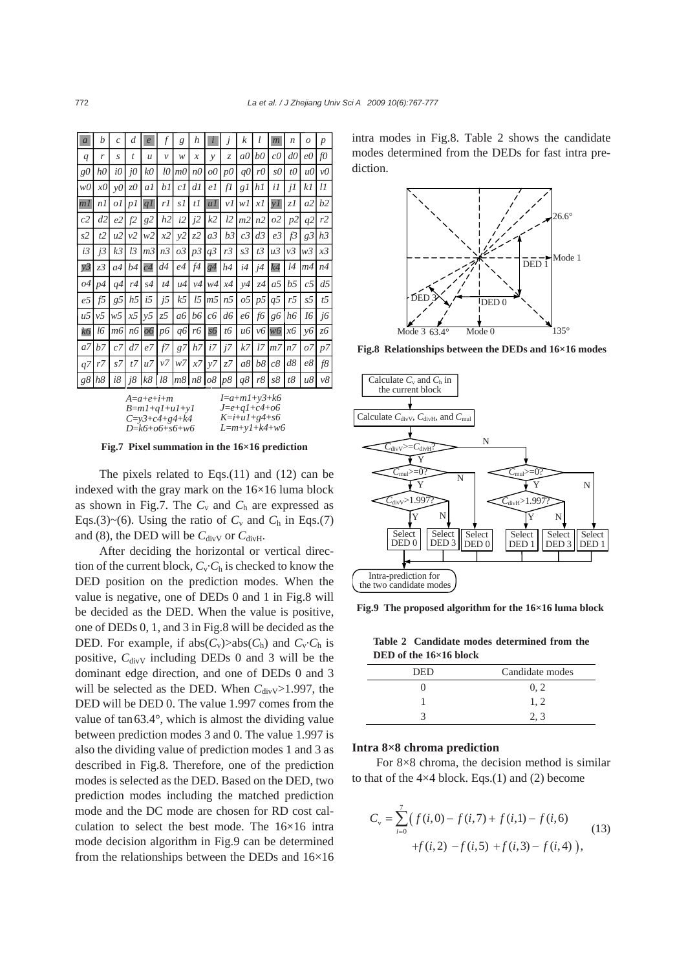| $\overline{a}$ | h              | $\mathcal{C}_{0}^{(n)}$ | d              | $\mathcal{C}$  | $\boldsymbol{f}$ | g                                     | h       | $\dot{i}$       | j              | k                        | l    | m               | $\boldsymbol{n}$ | $\overline{O}$ | $\boldsymbol{p}$ |
|----------------|----------------|-------------------------|----------------|----------------|------------------|---------------------------------------|---------|-----------------|----------------|--------------------------|------|-----------------|------------------|----------------|------------------|
| q              | r              | S                       | t              | $\mathcal{U}$  | v                | W                                     | x       | $\mathcal{V}$   | $\mathcal{Z}$  | a0                       | b0   | $_{c0}$         | $d\theta$        | e0             | f0               |
| g0             | h0             | i0                      | j0             | k0             | lО               | тO                                    | n0      | o0              | $p\theta$      | q0                       | r0   | s0              | t0               | иO             | ν0               |
| w0             | x0             | $v\theta$               | z0             | a1             | b1               | c1                                    | d1      | e 1             | f1             | gl                       | h1   | i1              | i <sub>I</sub>   | kl             | Ħ                |
| m1             | n1             | οl                      | p1             | qI             | rl               | s1                                    | tI      | uI              | νI             | wI                       | x1   | vI              | zΙ               | a2             | b2               |
| c2             | d2             | e2                      | f2             | g2             | h2               | i2                                    | j2      | k2              | 12             | m <sub>2</sub>           | n2   | 02              | p2               | q2             | r2               |
| s2             | t2             | u2                      | ν2             | w2             | х2               | v2                                    | z2      | a3              | b3             | c <sub>3</sub>           | d3   | e3              | f <sub>3</sub>   | g3             | h3               |
| i3             | i3             | k <sub>3</sub>          | l3             | m <sub>3</sub> | n <sub>3</sub>   | o3                                    | p3      | $q\mathfrak{Z}$ | r3             | s3                       | t3   | $u\mathfrak{Z}$ | v3               | w3             | $x3$             |
| y3             | z3             | a4                      | b4             | c4             | d4               | e4                                    | f4      | g4              | h4             | i4                       | j4   | k4              | 14               | m4             | n4               |
| 04             | p4             | q4                      | r4             | s4             | t4               | u4                                    | $\nu$ 4 | w4              | x4             | y4                       | z4   | a <sub>5</sub>  | b <sub>5</sub>   | c <sub>5</sub> | $d\mathfrak{I}$  |
| e5             | f5             | g5                      | h <sub>5</sub> | i5             | j5               | k5                                    | 15      | m5              | n <sub>5</sub> | $\overline{05}$          | $p5$ | $q\bar{z}$      | r5               | s5             | t <sub>5</sub>   |
| u <sub>2</sub> | v <sub>2</sub> | w5                      | x5             | v <sub>2</sub> | z5               | aб                                    | b6      | сб              | d6             | eб                       | fб   | gб              | hб               | 16             | jб               |
| kб             | 16             | тб                      | пб             | 06             | pб               | q6                                    | rб      | 56              | tб             | и6                       | v6   | w6              | хб               | yб             | zб               |
| a7             | b7             | c7                      | d7             | e7             | f7               | $\ensuremath{g}\xspace\ensuremath{7}$ | h7      | i7              | i7             | $k$ 7                    | 17   | т7              | n <sub>7</sub>   | ο7             | $p7$             |
| q7             | r7             | s7                      | t7             | u7             | ν7               | w7                                    | x7      | v7              | z7             | a8                       | b8   | c8              | d8               | e8             | f8               |
| $g\mathcal{8}$ | h8             | i8                      | j8             | k8             | 18               | m8                                    | n8      | 08              | p8             | $q\mathcal{8}$           | r8   | s8              | t8               | u8             | v8               |
|                |                |                         |                |                |                  |                                       |         |                 |                | $I = a + m l + m^2 + k6$ |      |                 |                  |                |                  |

*<sup>A</sup>*=*a*+*e*+*i*+*<sup>m</sup> <sup>B</sup>*=*m1*+*q1*+*u1*+*y1 C*=*y3*+*c4*+*g4*+*k4 D*=*k6*+*o6*+*s6*+*w6 I*=*a*+*m1*+*y3*+*k6 J*=*e*+*q1*+*c4*+*o6 K*=*i*+*u1*+*g4*+*s6 L*=*m*+*y1*+*k4*+*w6*

**Fig.7 Pixel summation in the 16×16 prediction**  $\qquad \qquad \qquad \qquad \qquad \qquad \qquad \qquad \qquad \qquad C_{divV}> = C_{divH}$ 

The pixels related to Eqs.(11) and (12) can be indexed with the gray mark on the 16×16 luma block as shown in Fig.7. The  $C_v$  and  $C_h$  are expressed as Eqs.(3)~(6). Using the ratio of  $C_v$  and  $C_h$  in Eqs.(7) and (8), the DED will be  $C_{\text{divV}}$  or  $C_{\text{divH}}$ .

After deciding the horizontal or vertical direction of the current block,  $C_v \cdot C_h$  is checked to know the DED position on the prediction modes. When the value is negative, one of DEDs 0 and 1 in Fig.8 will be decided as the DED. When the value is positive, one of DEDs 0, 1, and 3 in Fig.8 will be decided as the DED. For example, if  $abs(C_v) > abs(C_h)$  and  $C_v \cdot C_h$  is positive, C<sub>divV</sub> including DEDs 0 and 3 will be the dominant edge direction, and one of DEDs 0 and 3 will be selected as the DED. When  $C_{divV} > 1.997$ , the DED will be DED 0. The value 1.997 comes from the value of tan63.4°, which is almost the dividing value between prediction modes 3 and 0. The value 1.997 is also the dividing value of prediction modes 1 and 3 as described in Fig.8. Therefore, one of the prediction modes is selected as the DED. Based on the DED, two prediction modes including the matched prediction mode and the DC mode are chosen for RD cost calculation to select the best mode. The 16×16 intra mode decision algorithm in Fig.9 can be determined from the relationships between the DEDs and 16×16

intra modes in Fig.8. Table 2 shows the candidate modes determined from the DEDs for fast intra prediction.



**Fig.8 Relationships between the DEDs and 16×16 modes**



**Fig.9 The proposed algorithm for the 16×16 luma block**

**Table 2 Candidate modes determined from the DED of the 16×16 block** 

| <b>DED</b> | Candidate modes |
|------------|-----------------|
|            | 0, 2            |
|            | 1.2             |
|            | 2.3             |

#### **Intra 8×8 chroma prediction**

For 8×8 chroma, the decision method is similar to that of the  $4\times4$  block. Eqs.(1) and (2) become

$$
C_{\rm v} = \sum_{i=0}^{7} \left( f(i,0) - f(i,7) + f(i,1) - f(i,6) \right. \left. + f(i,2) - f(i,5) + f(i,3) - f(i,4) \right), \tag{13}
$$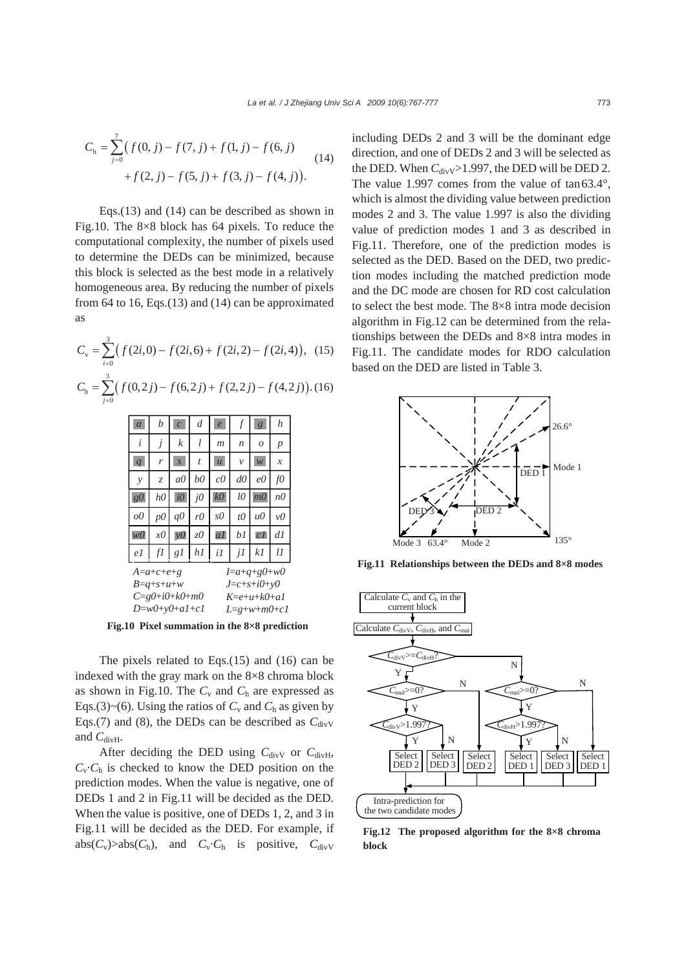$$
C_{\rm h} = \sum_{j=0}^{7} \left( f(0, j) - f(7, j) + f(1, j) - f(6, j) + f(2, j) - f(5, j) + f(3, j) - f(4, j) \right).
$$
\n(14)

Eqs.(13) and (14) can be described as shown in Fig.10. The 8×8 block has 64 pixels. To reduce the computational complexity, the number of pixels used to determine the DEDs can be minimized, because this block is selected as the best mode in a relatively homogeneous area. By reducing the number of pixels from 64 to 16, Eqs.(13) and (14) can be approximated as

$$
C_{\rm v} = \sum_{i=0}^{3} \left( f(2i,0) - f(2i,6) + f(2i,2) - f(2i,4) \right), \tag{15}
$$

$$
C_{\rm h} = \sum_{j=0}^{3} \bigl( f(0,2j) - f(6,2j) + f(2,2j) - f(4,2j) \bigr). (16)
$$

| $\overline{a}$   | b                       | $\mathcal{C}_{\mathcal{C}}$ | d              | $\overline{e}$ | $\boldsymbol{f}$ | g                     | h                |
|------------------|-------------------------|-----------------------------|----------------|----------------|------------------|-----------------------|------------------|
| i                | j                       | k                           | l              | $\mathfrak{m}$ | $\boldsymbol{n}$ | $\overline{O}$        | $\boldsymbol{p}$ |
| $\overline{q}$   | r                       | $\overline{S}$              | $\bar{t}$      | $\overline{u}$ | $\mathcal{V}$    | w                     | $\mathcal{X}$    |
| $\mathcal{Y}$    | $\overline{z}$          | $a\theta$                   | b <sub>0</sub> | $c\theta$      | $d\theta$        | $e^{i}$               | f0               |
| $g\ddot{\theta}$ | h <sub>0</sub>          | $i\theta$                   | $j\theta$      | k0             | l0               | m <sub>0</sub>        | nQ               |
| o <sub>0</sub>   | $p\ddot{o}$             | q0                          | $r\theta$      | s0             | $t\theta$        | $u\theta$             | $\nu 0$          |
| $w\ddot{o}$      | $x\theta$               | $\nu 0$                     | $z\theta$      | al             | bl               | c1                    | d1               |
| el               | fI                      | gI                          | h              | iI             | jI               | kl                    | 11               |
|                  | $A=a+c+e+g$             |                             |                |                |                  | $I=a+q+g0+w0$         |                  |
|                  | $B=a+s+u+w$             |                             |                |                |                  | $J=c+s+i0+y0$         |                  |
|                  | $C = g0 + i0 + k0 + m0$ |                             |                |                |                  | $K = e + u + k0 + a1$ |                  |
|                  | $D=w0+v0+a1+c1$         |                             |                |                |                  | $L = g + w + mO + cI$ |                  |

*L*=*g*+*w*+*m0*+*c1* **Fig.10 Pixel summation in the 8×8 prediction** 

The pixels related to Eqs.(15) and (16) can be indexed with the gray mark on the 8×8 chroma block as shown in Fig.10. The  $C_v$  and  $C_h$  are expressed as Eqs.(3)~(6). Using the ratios of  $C_v$  and  $C_h$  as given by Eqs.(7) and (8), the DEDs can be described as  $C_{divV}$ and *C*divH.

After deciding the DED using  $C_{\text{divV}}$  or  $C_{\text{divH}}$ ,  $C_v$ ·*C*<sub>h</sub> is checked to know the DED position on the prediction modes. When the value is negative, one of DEDs 1 and 2 in Fig.11 will be decided as the DED. When the value is positive, one of DEDs 1, 2, and 3 in Fig.11 will be decided as the DED. For example, if abs( $C_v$ )>abs( $C_h$ ), and  $C_v \cdot C_h$  is positive,  $C_{divV}$ 

including DEDs 2 and 3 will be the dominant edge direction, and one of DEDs 2 and 3 will be selected as the DED. When  $C_{divV} > 1.997$ , the DED will be DED 2. The value 1.997 comes from the value of  $tan 63.4^\circ$ , which is almost the dividing value between prediction modes 2 and 3. The value 1.997 is also the dividing value of prediction modes 1 and 3 as described in Fig.11. Therefore, one of the prediction modes is selected as the DED. Based on the DED, two prediction modes including the matched prediction mode and the DC mode are chosen for RD cost calculation to select the best mode. The 8×8 intra mode decision algorithm in Fig.12 can be determined from the relationships between the DEDs and 8×8 intra modes in Fig.11. The candidate modes for RDO calculation based on the DED are listed in Table 3.



**Fig.11 Relationships between the DEDs and 8×8 modes**



**Fig.12 The proposed algorithm for the 8×8 chroma block**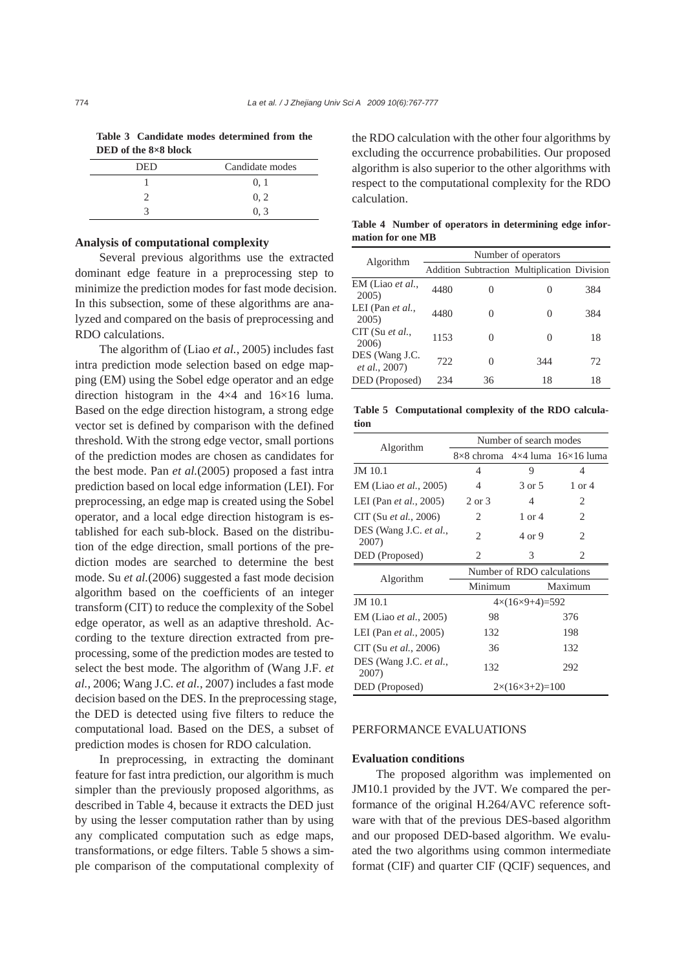| Candidate modes |
|-----------------|
| 0, 1            |
| 0, 2            |
| 0, 3            |
|                 |

**Table 3 Candidate modes determined from the DED of the 8×8 block** 

#### **Analysis of computational complexity**

Several previous algorithms use the extracted dominant edge feature in a preprocessing step to minimize the prediction modes for fast mode decision. In this subsection, some of these algorithms are analyzed and compared on the basis of preprocessing and RDO calculations.

The algorithm of (Liao *et al.*, 2005) includes fast intra prediction mode selection based on edge mapping (EM) using the Sobel edge operator and an edge direction histogram in the 4×4 and 16×16 luma. Based on the edge direction histogram, a strong edge vector set is defined by comparison with the defined threshold. With the strong edge vector, small portions of the prediction modes are chosen as candidates for the best mode. Pan *et al.*(2005) proposed a fast intra prediction based on local edge information (LEI). For preprocessing, an edge map is created using the Sobel operator, and a local edge direction histogram is established for each sub-block. Based on the distribution of the edge direction, small portions of the prediction modes are searched to determine the best mode. Su *et al.*(2006) suggested a fast mode decision algorithm based on the coefficients of an integer transform (CIT) to reduce the complexity of the Sobel edge operator, as well as an adaptive threshold. According to the texture direction extracted from preprocessing, some of the prediction modes are tested to select the best mode. The algorithm of (Wang J.F. *et al.*, 2006; Wang J.C. *et al.*, 2007) includes a fast mode decision based on the DES. In the preprocessing stage, the DED is detected using five filters to reduce the computational load. Based on the DES, a subset of prediction modes is chosen for RDO calculation.

In preprocessing, in extracting the dominant feature for fast intra prediction, our algorithm is much simpler than the previously proposed algorithms, as described in Table 4, because it extracts the DED just by using the lesser computation rather than by using any complicated computation such as edge maps, transformations, or edge filters. Table 5 shows a simple comparison of the computational complexity of the RDO calculation with the other four algorithms by excluding the occurrence probabilities. Our proposed algorithm is also superior to the other algorithms with respect to the computational complexity for the RDO calculation.

**Table 4 Number of operators in determining edge information for one MB** 

|                                 | Number of operators |          |                                              |     |  |  |  |  |  |
|---------------------------------|---------------------|----------|----------------------------------------------|-----|--|--|--|--|--|
| Algorithm                       |                     |          | Addition Subtraction Multiplication Division |     |  |  |  |  |  |
| EM (Liao et al.,<br>2005        | 4480                | 0        | $\theta$                                     | 384 |  |  |  |  |  |
| LEI (Pan et al.,<br>2005        | 4480                | 0        | 0                                            | 384 |  |  |  |  |  |
| $CIT$ (Su et al.,<br>2006)      | 1153                | 0        | 0                                            | 18  |  |  |  |  |  |
| DES (Wang J.C.<br>et al., 2007) | 722                 | $\theta$ | 344                                          | 72  |  |  |  |  |  |
| DED (Proposed)                  | 234                 | 36       | 18                                           | 18  |  |  |  |  |  |

**Table 5 Computational complexity of the RDO calculation** 

|                                 |                | Number of search modes     |                                                     |
|---------------------------------|----------------|----------------------------|-----------------------------------------------------|
| Algorithm                       |                |                            | $8\times8$ chroma $4\times4$ luma $16\times16$ luma |
| JM 10.1                         | 4              | 9                          | 4                                                   |
| EM (Liao et al., 2005)          | 4              | 3 or 5                     | $1$ or $4$                                          |
| LEI (Pan <i>et al.</i> , 2005)  | 2 or 3         | $\overline{4}$             | 2                                                   |
| CIT (Su et al., 2006)           | 2              | $1$ or $4$                 | 2                                                   |
| DES (Wang J.C. et al.,<br>2007) | $\overline{c}$ | 4 or 9                     | $\overline{c}$                                      |
| DED (Proposed)                  | 2              | 3                          | 2                                                   |
|                                 |                |                            |                                                     |
|                                 |                | Number of RDO calculations |                                                     |
| Algorithm                       | Minimum        |                            | Maximum                                             |
| JM 10.1                         |                | $4\times(16\times9+4)=592$ |                                                     |
| EM (Liao et al., 2005)          | 98             |                            | 376                                                 |
| LEI (Pan <i>et al.</i> , 2005)  | 132            |                            | 198                                                 |
| CIT (Su et al., 2006)           | 36             |                            | 132                                                 |
| DES (Wang J.C. et al.,<br>2007) | 132            |                            | 292                                                 |

## PERFORMANCE EVALUATIONS

#### **Evaluation conditions**

The proposed algorithm was implemented on JM10.1 provided by the JVT. We compared the performance of the original H.264/AVC reference software with that of the previous DES-based algorithm and our proposed DED-based algorithm. We evaluated the two algorithms using common intermediate format (CIF) and quarter CIF (QCIF) sequences, and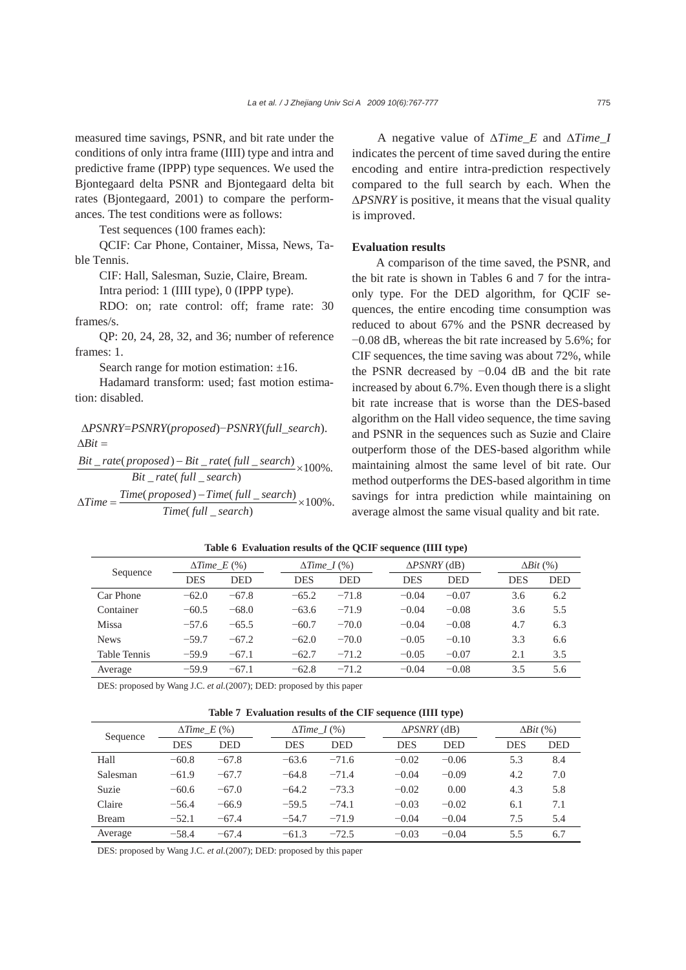measured time savings, PSNR, and bit rate under the conditions of only intra frame (IIII) type and intra and predictive frame (IPPP) type sequences. We used the Bjontegaard delta PSNR and Bjontegaard delta bit rates (Bjontegaard, 2001) to compare the performances. The test conditions were as follows:

Test sequences (100 frames each):

QCIF: Car Phone, Container, Missa, News, Table Tennis.

CIF: Hall, Salesman, Suzie, Claire, Bream.

Intra period: 1 (IIII type), 0 (IPPP type).

RDO: on; rate control: off; frame rate: 30 frames/s.

QP: 20, 24, 28, 32, and 36; number of reference frames: 1.

Search range for motion estimation:  $\pm 16$ .

Hadamard transform: used; fast motion estimation: disabled.

∆*PSNRY*=*PSNRY*(*proposed*)−*PSNRY*(*full\_search*).  $\Delta B$ *it* =

 $Bit\_rate( proposed) - Bit\_rate(full\_search) \times 100\%$ .  $Bit\_rate(full\_search)$  $Time (proposed) - Time (full\_search) \times 100\%$ .<br>*Time*(*full* \_ *search*)  $\Delta Time = \frac{Time(proposed) - Time(full\_search)}{Time(full\_search)} \times$ 

A negative value of ∆*Time\_E* and ∆*Time\_I* indicates the percent of time saved during the entire encoding and entire intra-prediction respectively compared to the full search by each. When the ∆*PSNRY* is positive, it means that the visual quality is improved.

## **Evaluation results**

A comparison of the time saved, the PSNR, and the bit rate is shown in Tables 6 and 7 for the intraonly type. For the DED algorithm, for QCIF sequences, the entire encoding time consumption was reduced to about 67% and the PSNR decreased by −0.08 dB, whereas the bit rate increased by 5.6%; for CIF sequences, the time saving was about 72%, while the PSNR decreased by −0.04 dB and the bit rate increased by about 6.7%. Even though there is a slight bit rate increase that is worse than the DES-based algorithm on the Hall video sequence, the time saving and PSNR in the sequences such as Suzie and Claire outperform those of the DES-based algorithm while maintaining almost the same level of bit rate. Our method outperforms the DES-based algorithm in time savings for intra prediction while maintaining on average almost the same visual quality and bit rate.

|                     | $\Delta Time \ E(%)$ |            | $\Delta Time \, I\,$ %) |            |  | $\triangle PSNRY$ (dB) |         |  | $\Delta Bit$ (%) |            |
|---------------------|----------------------|------------|-------------------------|------------|--|------------------------|---------|--|------------------|------------|
| Sequence            | <b>DES</b>           | <b>DED</b> | <b>DES</b>              | <b>DED</b> |  | <b>DES</b>             | DED     |  | <b>DES</b>       | <b>DED</b> |
| Car Phone           | $-62.0$              | $-67.8$    | $-65.2$                 | $-71.8$    |  | $-0.04$                | $-0.07$ |  | 3.6              | 6.2        |
| Container           | $-60.5$              | $-68.0$    | $-63.6$                 | $-71.9$    |  | $-0.04$                | $-0.08$ |  | 3.6              | 5.5        |
| Missa               | $-57.6$              | $-65.5$    | $-60.7$                 | $-70.0$    |  | $-0.04$                | $-0.08$ |  | 4.7              | 6.3        |
| <b>News</b>         | $-59.7$              | $-67.2$    | $-62.0$                 | $-70.0$    |  | $-0.05$                | $-0.10$ |  | 3.3              | 6.6        |
| <b>Table Tennis</b> | $-59.9$              | $-67.1$    | $-62.7$                 | $-71.2$    |  | $-0.05$                | $-0.07$ |  | 2.1              | 3.5        |
| Average             | $-59.9$              | $-67.1$    | $-62.8$                 | $-71.2$    |  | $-0.04$                | $-0.08$ |  | 3.5              | 5.6        |
|                     |                      |            |                         |            |  |                        |         |  |                  |            |

**Table 6 Evaluation results of the QCIF sequence (IIII type)** 

DES: proposed by Wang J.C. *et al.*(2007); DED: proposed by this paper

|  |  |  | Table 7 Evaluation results of the CIF sequence (IIII type) |
|--|--|--|------------------------------------------------------------|
|--|--|--|------------------------------------------------------------|

| Sequence     |            | $\triangle Time \mathcal{F}$ (%) |            | $\Delta Time \ I\ (\%)$ |            | $\triangle PSNRY$ (dB) |            | $\Delta Bit$ (%) |  |  |
|--------------|------------|----------------------------------|------------|-------------------------|------------|------------------------|------------|------------------|--|--|
|              | <b>DES</b> | <b>DED</b>                       | <b>DES</b> | <b>DED</b>              | <b>DES</b> | <b>DED</b>             | <b>DES</b> | <b>DED</b>       |  |  |
| Hall         | $-60.8$    | $-67.8$                          | $-63.6$    | $-71.6$                 | $-0.02$    | $-0.06$                | 5.3        | 8.4              |  |  |
| Salesman     | $-61.9$    | $-67.7$                          | $-64.8$    | $-71.4$                 | $-0.04$    | $-0.09$                | 4.2        | 7.0              |  |  |
| Suzie        | $-60.6$    | $-67.0$                          | $-64.2$    | $-73.3$                 | $-0.02$    | 0.00                   | 4.3        | 5.8              |  |  |
| Claire       | $-56.4$    | $-66.9$                          | $-59.5$    | $-74.1$                 | $-0.03$    | $-0.02$                | 6.1        | 7.1              |  |  |
| <b>Bream</b> | $-52.1$    | $-67.4$                          | $-54.7$    | $-71.9$                 | $-0.04$    | $-0.04$                | 7.5        | 5.4              |  |  |
| Average      | $-58.4$    | $-67.4$                          | $-61.3$    | $-72.5$                 | $-0.03$    | $-0.04$                | 5.5        | 6.7              |  |  |

DES: proposed by Wang J.C. *et al.*(2007); DED: proposed by this paper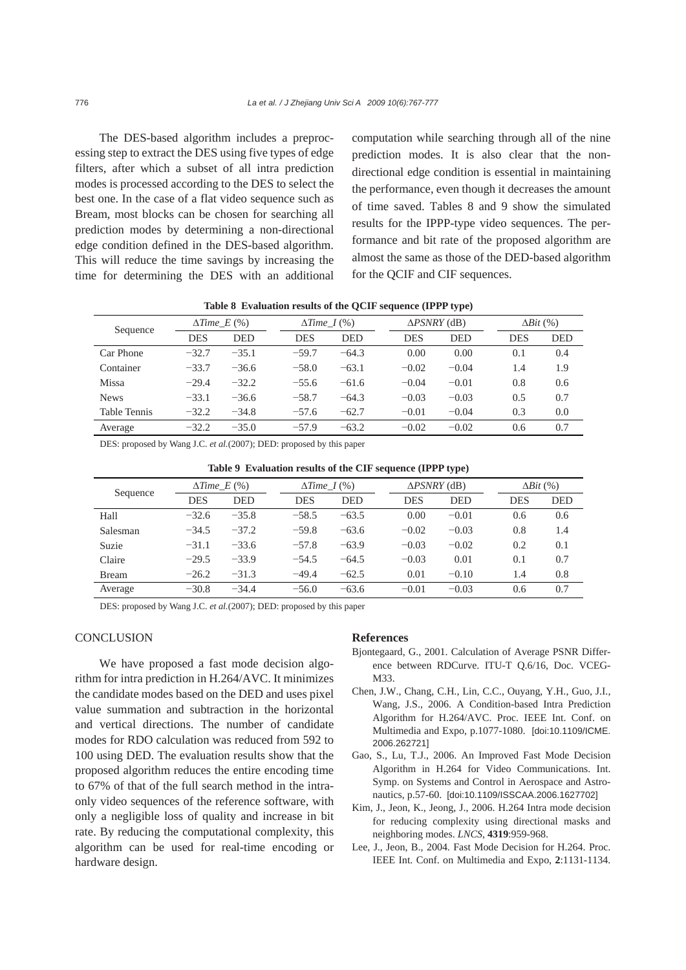The DES-based algorithm includes a preprocessing step to extract the DES using five types of edge filters, after which a subset of all intra prediction modes is processed according to the DES to select the best one. In the case of a flat video sequence such as Bream, most blocks can be chosen for searching all prediction modes by determining a non-directional edge condition defined in the DES-based algorithm. This will reduce the time savings by increasing the time for determining the DES with an additional computation while searching through all of the nine prediction modes. It is also clear that the nondirectional edge condition is essential in maintaining the performance, even though it decreases the amount of time saved. Tables 8 and 9 show the simulated results for the IPPP-type video sequences. The performance and bit rate of the proposed algorithm are almost the same as those of the DED-based algorithm for the QCIF and CIF sequences.

|  | Table 8 Evaluation results of the QCIF sequence (IPPP type) |  |  |  |  |  |  |
|--|-------------------------------------------------------------|--|--|--|--|--|--|
|--|-------------------------------------------------------------|--|--|--|--|--|--|

| Sequence     | $\Delta Time \_E (\%)$ |            |            | $\Delta Time \, I\,$ %) |            | $\triangle PSNRY$ (dB) |            | $\Delta Bit$ (%) |  |
|--------------|------------------------|------------|------------|-------------------------|------------|------------------------|------------|------------------|--|
|              | <b>DES</b>             | <b>DED</b> | <b>DES</b> | <b>DED</b>              | <b>DES</b> | <b>DED</b>             | <b>DES</b> | <b>DED</b>       |  |
| Car Phone    | $-32.7$                | $-35.1$    | $-59.7$    | $-64.3$                 | 0.00       | 0.00                   | 0.1        | 0.4              |  |
| Container    | $-33.7$                | $-36.6$    | $-58.0$    | $-63.1$                 | $-0.02$    | $-0.04$                | 1.4        | 1.9              |  |
| Missa        | $-29.4$                | $-32.2$    | $-55.6$    | $-61.6$                 | $-0.04$    | $-0.01$                | 0.8        | 0.6              |  |
| <b>News</b>  | $-33.1$                | $-36.6$    | $-58.7$    | $-64.3$                 | $-0.03$    | $-0.03$                | 0.5        | 0.7              |  |
| Table Tennis | $-32.2$                | $-34.8$    | $-57.6$    | $-62.7$                 | $-0.01$    | $-0.04$                | 0.3        | 0.0              |  |
| Average      | $-32.2$                | $-35.0$    | $-57.9$    | $-63.2$                 | $-0.02$    | $-0.02$                | 0.6        | 0.7              |  |
|              |                        |            |            |                         |            |                        |            |                  |  |

DES: proposed by Wang J.C. *et al.*(2007); DED: proposed by this paper

| Table 9 Evaluation results of the CIF sequence (IPPP type) |  |  |  |  |  |
|------------------------------------------------------------|--|--|--|--|--|
|------------------------------------------------------------|--|--|--|--|--|

| Sequence     | $\Delta Time \_E (\%)$ |            |            | $\Delta Time \, I\,(\%)$ |            | $\triangle PSNRY$ (dB) |            | $\Delta Bit$ (%) |  |
|--------------|------------------------|------------|------------|--------------------------|------------|------------------------|------------|------------------|--|
|              | <b>DES</b>             | <b>DED</b> | <b>DES</b> | <b>DED</b>               | <b>DES</b> | <b>DED</b>             | <b>DES</b> | <b>DED</b>       |  |
| Hall         | $-32.6$                | $-35.8$    | $-58.5$    | $-63.5$                  | 0.00       | $-0.01$                | 0.6        | 0.6              |  |
| Salesman     | $-34.5$                | $-37.2$    | $-59.8$    | $-63.6$                  | $-0.02$    | $-0.03$                | 0.8        | 1.4              |  |
| Suzie        | $-31.1$                | $-33.6$    | $-57.8$    | $-63.9$                  | $-0.03$    | $-0.02$                | 0.2        | 0.1              |  |
| Claire       | $-29.5$                | $-33.9$    | $-54.5$    | $-64.5$                  | $-0.03$    | 0.01                   | 0.1        | 0.7              |  |
| <b>Bream</b> | $-26.2$                | $-31.3$    | $-49.4$    | $-62.5$                  | 0.01       | $-0.10$                | 1.4        | 0.8              |  |
| Average      | $-30.8$                | $-34.4$    | $-56.0$    | $-63.6$                  | $-0.01$    | $-0.03$                | 0.6        | 0.7              |  |

DES: proposed by Wang J.C. *et al.*(2007); DED: proposed by this paper

## **CONCLUSION**

We have proposed a fast mode decision algorithm for intra prediction in H.264/AVC. It minimizes the candidate modes based on the DED and uses pixel value summation and subtraction in the horizontal and vertical directions. The number of candidate modes for RDO calculation was reduced from 592 to 100 using DED. The evaluation results show that the proposed algorithm reduces the entire encoding time to 67% of that of the full search method in the intraonly video sequences of the reference software, with only a negligible loss of quality and increase in bit rate. By reducing the computational complexity, this algorithm can be used for real-time encoding or hardware design.

#### **References**

- Bjontegaard, G., 2001. Calculation of Average PSNR Difference between RDCurve. ITU-T Q.6/16, Doc. VCEG-M33.
- Chen, J.W., Chang, C.H., Lin, C.C., Ouyang, Y.H., Guo, J.I., Wang, J.S., 2006. A Condition-based Intra Prediction Algorithm for H.264/AVC. Proc. IEEE Int. Conf. on Multimedia and Expo, p.1077-1080. [doi:10.1109/ICME. 2006.262721]
- Gao, S., Lu, T.J., 2006. An Improved Fast Mode Decision Algorithm in H.264 for Video Communications. Int. Symp. on Systems and Control in Aerospace and Astronautics, p.57-60. [doi:10.1109/ISSCAA.2006.1627702]
- Kim, J., Jeon, K., Jeong, J., 2006. H.264 Intra mode decision for reducing complexity using directional masks and neighboring modes. *LNCS*, **4319**:959-968.
- Lee, J., Jeon, B., 2004. Fast Mode Decision for H.264. Proc. IEEE Int. Conf. on Multimedia and Expo, **2**:1131-1134.